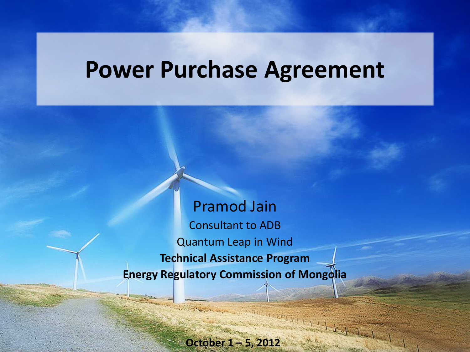### **Power Purchase Agreement**

Pramod Jain Consultant to ADB Quantum Leap in Wind **Technical Assistance Program Energy Regulatory Commission of Mongolia**

**October 1 – 5, 2012**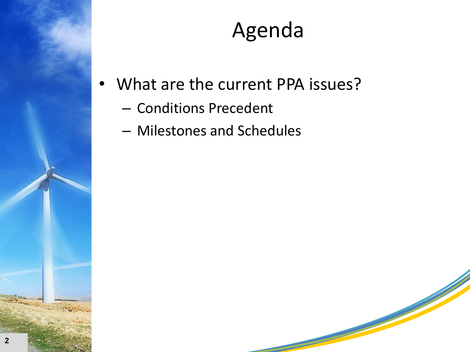

### Agenda

- What are the current PPA issues?
	- Conditions Precedent
	- Milestones and Schedules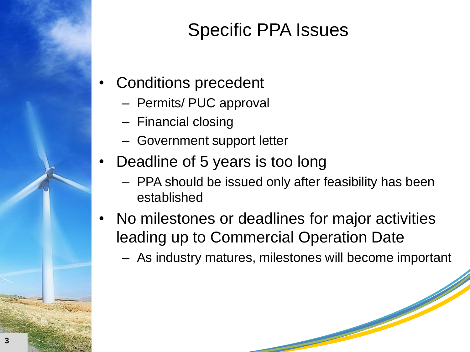

#### Specific PPA Issues

- Conditions precedent
	- Permits/ PUC approval
	- Financial closing
	- Government support letter
- Deadline of 5 years is too long
	- PPA should be issued only after feasibility has been established
- No milestones or deadlines for major activities leading up to Commercial Operation Date
	- As industry matures, milestones will become important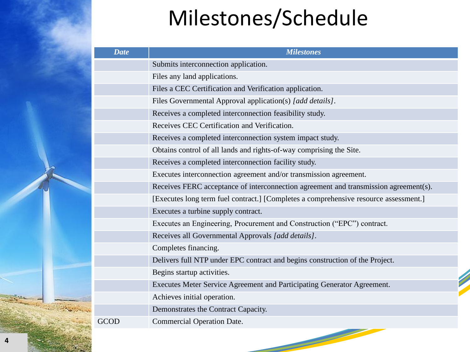## Milestones/Schedule

| <b>Date</b> | <b>Milestones</b>                                                                    |
|-------------|--------------------------------------------------------------------------------------|
|             | Submits interconnection application.                                                 |
|             | Files any land applications.                                                         |
|             | Files a CEC Certification and Verification application.                              |
|             | Files Governmental Approval application(s) [add details].                            |
|             | Receives a completed interconnection feasibility study.                              |
|             | Receives CEC Certification and Verification.                                         |
|             | Receives a completed interconnection system impact study.                            |
|             | Obtains control of all lands and rights-of-way comprising the Site.                  |
|             | Receives a completed interconnection facility study.                                 |
|             | Executes interconnection agreement and/or transmission agreement.                    |
|             | Receives FERC acceptance of interconnection agreement and transmission agreement(s). |
|             | [Executes long term fuel contract.] [Completes a comprehensive resource assessment.] |
|             | Executes a turbine supply contract.                                                  |
|             | Executes an Engineering, Procurement and Construction ("EPC") contract.              |
|             | Receives all Governmental Approvals [add details].                                   |
|             | Completes financing.                                                                 |
|             | Delivers full NTP under EPC contract and begins construction of the Project.         |
|             | Begins startup activities.                                                           |
|             | Executes Meter Service Agreement and Participating Generator Agreement.              |
|             | Achieves initial operation.                                                          |
|             | Demonstrates the Contract Capacity.                                                  |
| <b>GCOD</b> | Commercial Operation Date.                                                           |
|             |                                                                                      |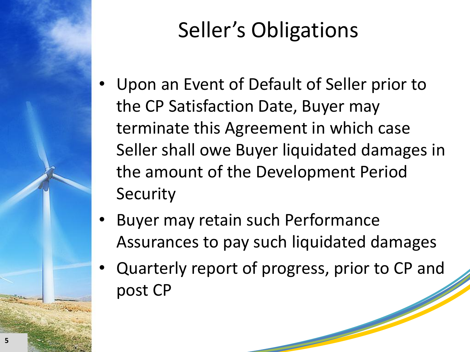

# Seller's Obligations

- Upon an Event of Default of Seller prior to the CP Satisfaction Date, Buyer may terminate this Agreement in which case Seller shall owe Buyer liquidated damages in the amount of the Development Period **Security**
- Buyer may retain such Performance Assurances to pay such liquidated damages
- Quarterly report of progress, prior to CP and post CP